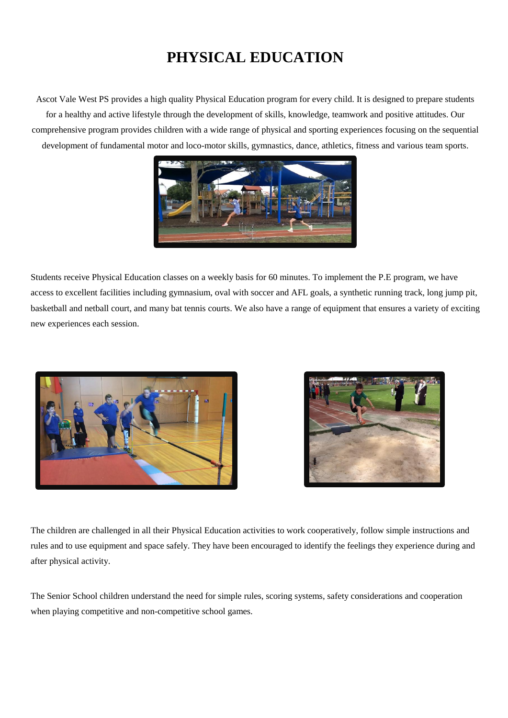## **PHYSICAL EDUCATION**

Ascot Vale West PS provides a high quality Physical Education program for every child. It is designed to prepare students for a healthy and active lifestyle through the development of skills, knowledge, teamwork and positive attitudes. Our comprehensive program provides children with a wide range of physical and sporting experiences focusing on the sequential development of fundamental motor and loco-motor skills, gymnastics, dance, athletics, fitness and various team sports.



Students receive Physical Education classes on a weekly basis for 60 minutes. To implement the P.E program, we have access to excellent facilities including gymnasium, oval with soccer and AFL goals, a synthetic running track, long jump pit, basketball and netball court, and many bat tennis courts. We also have a range of equipment that ensures a variety of exciting new experiences each session.





The children are challenged in all their Physical Education activities to work cooperatively, follow simple instructions and rules and to use equipment and space safely. They have been encouraged to identify the feelings they experience during and after physical activity.

The Senior School children understand the need for simple rules, scoring systems, safety considerations and cooperation when playing competitive and non-competitive school games.